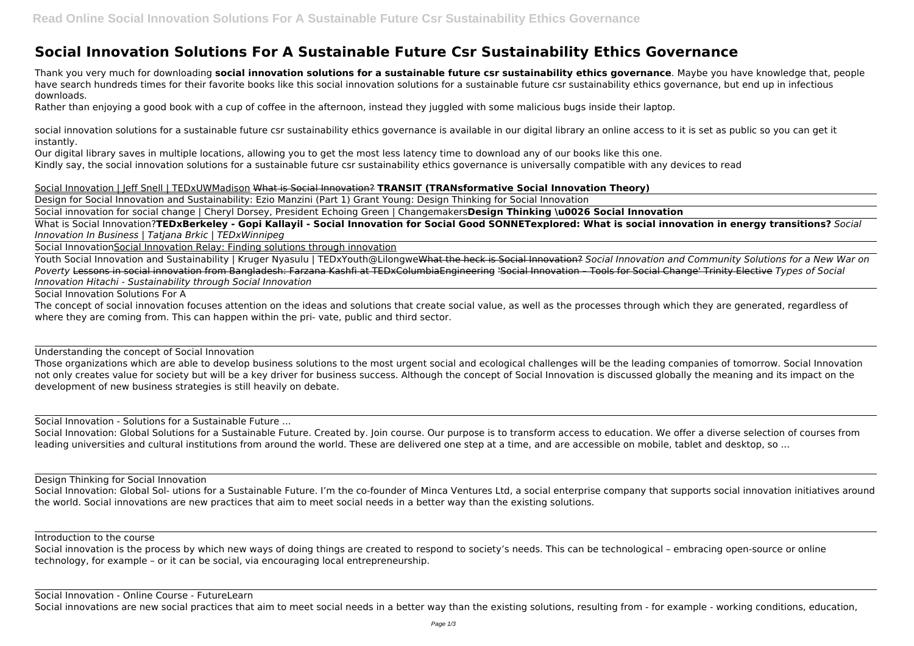## **Social Innovation Solutions For A Sustainable Future Csr Sustainability Ethics Governance**

Thank you very much for downloading **social innovation solutions for a sustainable future csr sustainability ethics governance**. Maybe you have knowledge that, people have search hundreds times for their favorite books like this social innovation solutions for a sustainable future csr sustainability ethics governance, but end up in infectious downloads.

Rather than enjoying a good book with a cup of coffee in the afternoon, instead they juggled with some malicious bugs inside their laptop.

social innovation solutions for a sustainable future csr sustainability ethics governance is available in our digital library an online access to it is set as public so you can get it instantly.

Our digital library saves in multiple locations, allowing you to get the most less latency time to download any of our books like this one. Kindly say, the social innovation solutions for a sustainable future csr sustainability ethics governance is universally compatible with any devices to read

The concept of social innovation focuses attention on the ideas and solutions that create social value, as well as the processes through which they are generated, regardless of where they are coming from. This can happen within the pri- vate, public and third sector.

Social Innovation | Jeff Snell | TEDxUWMadison What is Social Innovation? **TRANSIT (TRANsformative Social Innovation Theory)** Design for Social Innovation and Sustainability: Ezio Manzini (Part 1) Grant Young: Design Thinking for Social Innovation

Social innovation for social change | Cheryl Dorsey, President Echoing Green | Changemakers**Design Thinking \u0026 Social Innovation**

What is Social Innovation?**TEDxBerkeley - Gopi Kallayil - Social Innovation for Social Good SONNETexplored: What is social innovation in energy transitions?** *Social Innovation In Business | Tatjana Brkic | TEDxWinnipeg*

Social InnovationSocial Innovation Relay: Finding solutions through innovation

Social Innovation: Global Sol- utions for a Sustainable Future. I'm the co-founder of Minca Ventures Ltd, a social enterprise company that supports social innovation initiatives around the world. Social innovations are new practices that aim to meet social needs in a better way than the existing solutions.

Youth Social Innovation and Sustainability | Kruger Nyasulu | TEDxYouth@LilongweWhat the heck is Social Innovation? *Social Innovation and Community Solutions for a New War on Poverty* Lessons in social innovation from Bangladesh: Farzana Kashfi at TEDxColumbiaEngineering 'Social Innovation – Tools for Social Change' Trinity Elective *Types of Social Innovation Hitachi - Sustainability through Social Innovation*

Social Innovation Solutions For A

Understanding the concept of Social Innovation

Those organizations which are able to develop business solutions to the most urgent social and ecological challenges will be the leading companies of tomorrow. Social Innovation not only creates value for society but will be a key driver for business success. Although the concept of Social Innovation is discussed globally the meaning and its impact on the development of new business strategies is still heavily on debate.

Social Innovation - Solutions for a Sustainable Future ...

Social Innovation: Global Solutions for a Sustainable Future. Created by. Join course. Our purpose is to transform access to education. We offer a diverse selection of courses from leading universities and cultural institutions from around the world. These are delivered one step at a time, and are accessible on mobile, tablet and desktop, so ...

Design Thinking for Social Innovation

Introduction to the course

Social innovation is the process by which new ways of doing things are created to respond to society's needs. This can be technological – embracing open-source or online technology, for example – or it can be social, via encouraging local entrepreneurship.

Social Innovation - Online Course - FutureLearn

Social innovations are new social practices that aim to meet social needs in a better way than the existing solutions, resulting from - for example - working conditions, education,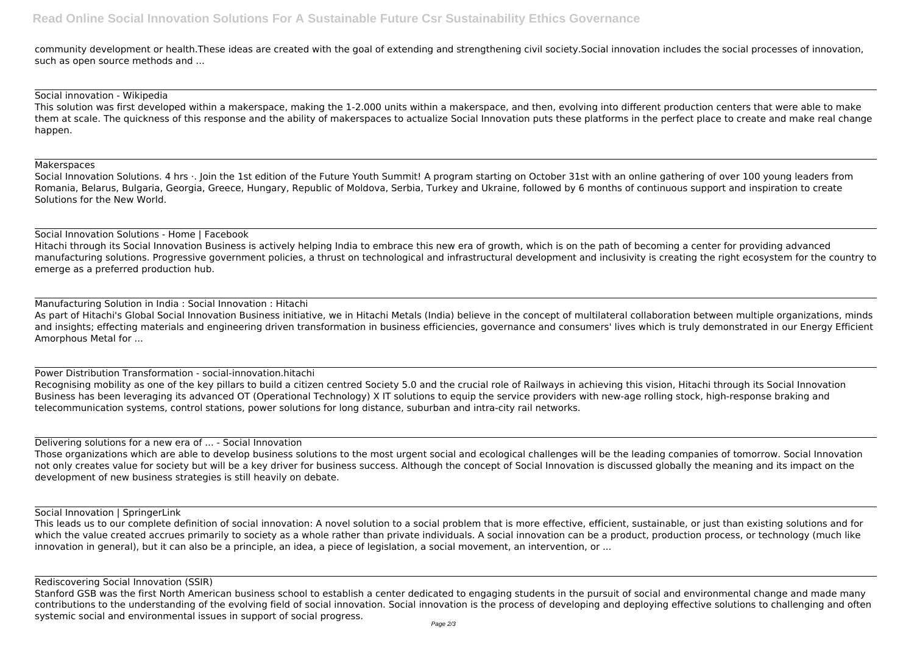community development or health.These ideas are created with the goal of extending and strengthening civil society.Social innovation includes the social processes of innovation, such as open source methods and ...

#### Social innovation - Wikipedia

This solution was first developed within a makerspace, making the 1-2.000 units within a makerspace, and then, evolving into different production centers that were able to make them at scale. The quickness of this response and the ability of makerspaces to actualize Social Innovation puts these platforms in the perfect place to create and make real change happen.

#### **Makerspaces**

Social Innovation Solutions. 4 hrs ·. Join the 1st edition of the Future Youth Summit! A program starting on October 31st with an online gathering of over 100 young leaders from Romania, Belarus, Bulgaria, Georgia, Greece, Hungary, Republic of Moldova, Serbia, Turkey and Ukraine, followed by 6 months of continuous support and inspiration to create Solutions for the New World.

As part of Hitachi's Global Social Innovation Business initiative, we in Hitachi Metals (India) believe in the concept of multilateral collaboration between multiple organizations, minds and insights; effecting materials and engineering driven transformation in business efficiencies, governance and consumers' lives which is truly demonstrated in our Energy Efficient Amorphous Metal for ...

#### Social Innovation Solutions - Home | Facebook

Hitachi through its Social Innovation Business is actively helping India to embrace this new era of growth, which is on the path of becoming a center for providing advanced manufacturing solutions. Progressive government policies, a thrust on technological and infrastructural development and inclusivity is creating the right ecosystem for the country to emerge as a preferred production hub.

#### Manufacturing Solution in India : Social Innovation : Hitachi

Power Distribution Transformation - social-innovation.hitachi Recognising mobility as one of the key pillars to build a citizen centred Society 5.0 and the crucial role of Railways in achieving this vision, Hitachi through its Social Innovation Business has been leveraging its advanced OT (Operational Technology) X IT solutions to equip the service providers with new-age rolling stock, high-response braking and telecommunication systems, control stations, power solutions for long distance, suburban and intra-city rail networks.

# Delivering solutions for a new era of ... - Social Innovation

Those organizations which are able to develop business solutions to the most urgent social and ecological challenges will be the leading companies of tomorrow. Social Innovation not only creates value for society but will be a key driver for business success. Although the concept of Social Innovation is discussed globally the meaning and its impact on the development of new business strategies is still heavily on debate.

### Social Innovation | SpringerLink

This leads us to our complete definition of social innovation: A novel solution to a social problem that is more effective, efficient, sustainable, or just than existing solutions and for which the value created accrues primarily to society as a whole rather than private individuals. A social innovation can be a product, production process, or technology (much like innovation in general), but it can also be a principle, an idea, a piece of legislation, a social movement, an intervention, or ...

Rediscovering Social Innovation (SSIR)

Stanford GSB was the first North American business school to establish a center dedicated to engaging students in the pursuit of social and environmental change and made many contributions to the understanding of the evolving field of social innovation. Social innovation is the process of developing and deploying effective solutions to challenging and often systemic social and environmental issues in support of social progress.